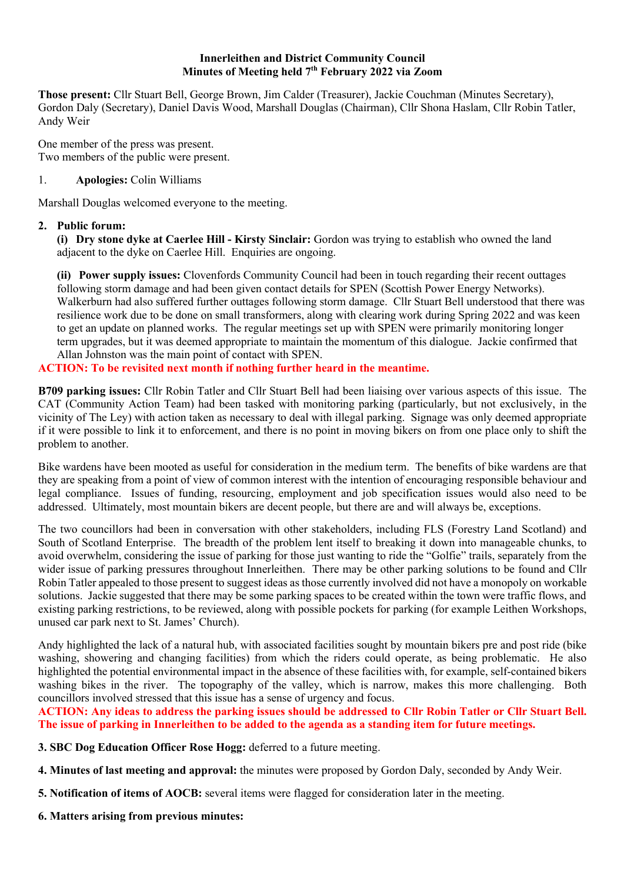#### **Innerleithen and District Community Council Minutes of Meeting held 7th February 2022 via Zoom**

**Those present:** Cllr Stuart Bell, George Brown, Jim Calder (Treasurer), Jackie Couchman (Minutes Secretary), Gordon Daly (Secretary), Daniel Davis Wood, Marshall Douglas (Chairman), Cllr Shona Haslam, Cllr Robin Tatler, Andy Weir

One member of the press was present. Two members of the public were present.

# 1. **Apologies:** Colin Williams

Marshall Douglas welcomed everyone to the meeting.

# **2. Public forum:**

**(i) Dry stone dyke at Caerlee Hill - Kirsty Sinclair:** Gordon was trying to establish who owned the land adjacent to the dyke on Caerlee Hill. Enquiries are ongoing.

**(ii) Power supply issues:** Clovenfords Community Council had been in touch regarding their recent outtages following storm damage and had been given contact details for SPEN (Scottish Power Energy Networks). Walkerburn had also suffered further outtages following storm damage. Cllr Stuart Bell understood that there was resilience work due to be done on small transformers, along with clearing work during Spring 2022 and was keen to get an update on planned works. The regular meetings set up with SPEN were primarily monitoring longer term upgrades, but it was deemed appropriate to maintain the momentum of this dialogue. Jackie confirmed that Allan Johnston was the main point of contact with SPEN.

# **ACTION: To be revisited next month if nothing further heard in the meantime.**

**B709 parking issues:** Cllr Robin Tatler and Cllr Stuart Bell had been liaising over various aspects of this issue. The CAT (Community Action Team) had been tasked with monitoring parking (particularly, but not exclusively, in the vicinity of The Ley) with action taken as necessary to deal with illegal parking. Signage was only deemed appropriate if it were possible to link it to enforcement, and there is no point in moving bikers on from one place only to shift the problem to another.

Bike wardens have been mooted as useful for consideration in the medium term. The benefits of bike wardens are that they are speaking from a point of view of common interest with the intention of encouraging responsible behaviour and legal compliance. Issues of funding, resourcing, employment and job specification issues would also need to be addressed. Ultimately, most mountain bikers are decent people, but there are and will always be, exceptions.

The two councillors had been in conversation with other stakeholders, including FLS (Forestry Land Scotland) and South of Scotland Enterprise. The breadth of the problem lent itself to breaking it down into manageable chunks, to avoid overwhelm, considering the issue of parking for those just wanting to ride the "Golfie" trails, separately from the wider issue of parking pressures throughout Innerleithen. There may be other parking solutions to be found and Cllr Robin Tatler appealed to those present to suggest ideas as those currently involved did not have a monopoly on workable solutions. Jackie suggested that there may be some parking spaces to be created within the town were traffic flows, and existing parking restrictions, to be reviewed, along with possible pockets for parking (for example Leithen Workshops, unused car park next to St. James' Church).

Andy highlighted the lack of a natural hub, with associated facilities sought by mountain bikers pre and post ride (bike washing, showering and changing facilities) from which the riders could operate, as being problematic. He also highlighted the potential environmental impact in the absence of these facilities with, for example, self-contained bikers washing bikes in the river. The topography of the valley, which is narrow, makes this more challenging. Both councillors involved stressed that this issue has a sense of urgency and focus.

**ACTION: Any ideas to address the parking issues should be addressed to Cllr Robin Tatler or Cllr Stuart Bell. The issue of parking in Innerleithen to be added to the agenda as a standing item for future meetings.**

- **3. SBC Dog Education Officer Rose Hogg:** deferred to a future meeting.
- **4. Minutes of last meeting and approval:** the minutes were proposed by Gordon Daly, seconded by Andy Weir.
- **5. Notification of items of AOCB:** several items were flagged for consideration later in the meeting.
- **6. Matters arising from previous minutes:**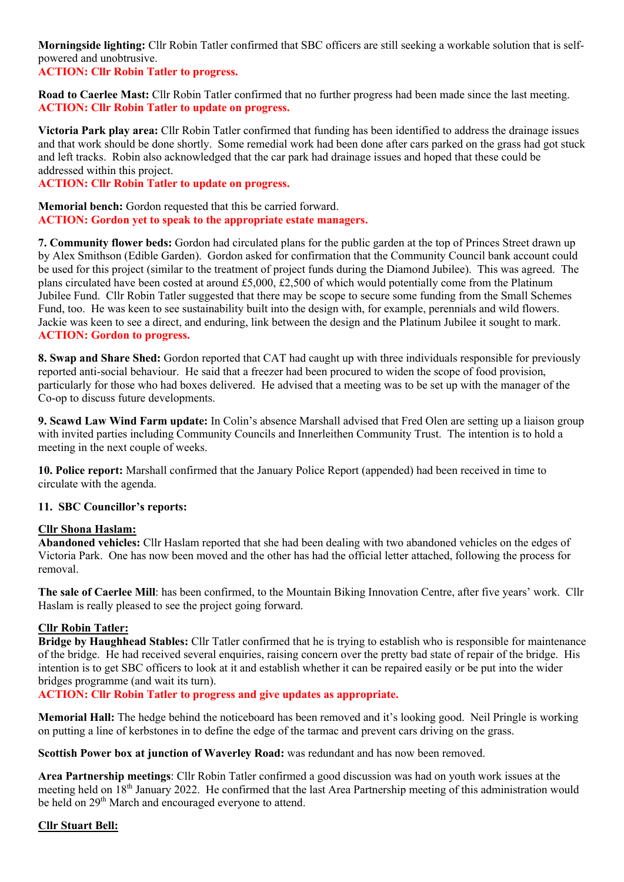**Morningside lighting:** Cllr Robin Tatler confirmed that SBC officers are still seeking a workable solution that is selfpowered and unobtrusive.

# **ACTION: Cllr Robin Tatler to progress.**

**Road to Caerlee Mast:** Cllr Robin Tatler confirmed that no further progress had been made since the last meeting. **ACTION: Cllr Robin Tatler to update on progress.**

**Victoria Park play area:** Cllr Robin Tatler confirmed that funding has been identified to address the drainage issues and that work should be done shortly. Some remedial work had been done after cars parked on the grass had got stuck and left tracks. Robin also acknowledged that the car park had drainage issues and hoped that these could be addressed within this project.

**ACTION: Cllr Robin Tatler to update on progress.**

**Memorial bench:** Gordon requested that this be carried forward. **ACTION: Gordon yet to speak to the appropriate estate managers.** 

**7. Community flower beds:** Gordon had circulated plans for the public garden at the top of Princes Street drawn up by Alex Smithson (Edible Garden). Gordon asked for confirmation that the Community Council bank account could be used for this project (similar to the treatment of project funds during the Diamond Jubilee). This was agreed. The plans circulated have been costed at around £5,000, £2,500 of which would potentially come from the Platinum Jubilee Fund. Cllr Robin Tatler suggested that there may be scope to secure some funding from the Small Schemes Fund, too. He was keen to see sustainability built into the design with, for example, perennials and wild flowers. Jackie was keen to see a direct, and enduring, link between the design and the Platinum Jubilee it sought to mark. **ACTION: Gordon to progress.**

**8. Swap and Share Shed:** Gordon reported that CAT had caught up with three individuals responsible for previously reported anti-social behaviour. He said that a freezer had been procured to widen the scope of food provision, particularly for those who had boxes delivered. He advised that a meeting was to be set up with the manager of the Co-op to discuss future developments.

**9. Scawd Law Wind Farm update:** In Colin's absence Marshall advised that Fred Olen are setting up a liaison group with invited parties including Community Councils and Innerleithen Community Trust. The intention is to hold a meeting in the next couple of weeks.

**10. Police report:** Marshall confirmed that the January Police Report (appended) had been received in time to circulate with the agenda.

## **11. SBC Councillor's reports:**

## **Cllr Shona Haslam:**

**Abandoned vehicles:** Cllr Haslam reported that she had been dealing with two abandoned vehicles on the edges of Victoria Park. One has now been moved and the other has had the official letter attached, following the process for removal.

**The sale of Caerlee Mill**: has been confirmed, to the Mountain Biking Innovation Centre, after five years' work. Cllr Haslam is really pleased to see the project going forward.

## **Cllr Robin Tatler:**

**Bridge by Haughhead Stables:** Cllr Tatler confirmed that he is trying to establish who is responsible for maintenance of the bridge. He had received several enquiries, raising concern over the pretty bad state of repair of the bridge. His intention is to get SBC officers to look at it and establish whether it can be repaired easily or be put into the wider bridges programme (and wait its turn).

**ACTION: Cllr Robin Tatler to progress and give updates as appropriate.**

**Memorial Hall:** The hedge behind the noticeboard has been removed and it's looking good. Neil Pringle is working on putting a line of kerbstones in to define the edge of the tarmac and prevent cars driving on the grass.

**Scottish Power box at junction of Waverley Road:** was redundant and has now been removed.

**Area Partnership meetings**: Cllr Robin Tatler confirmed a good discussion was had on youth work issues at the meeting held on 18<sup>th</sup> January 2022. He confirmed that the last Area Partnership meeting of this administration would be held on 29<sup>th</sup> March and encouraged everyone to attend.

## **Cllr Stuart Bell:**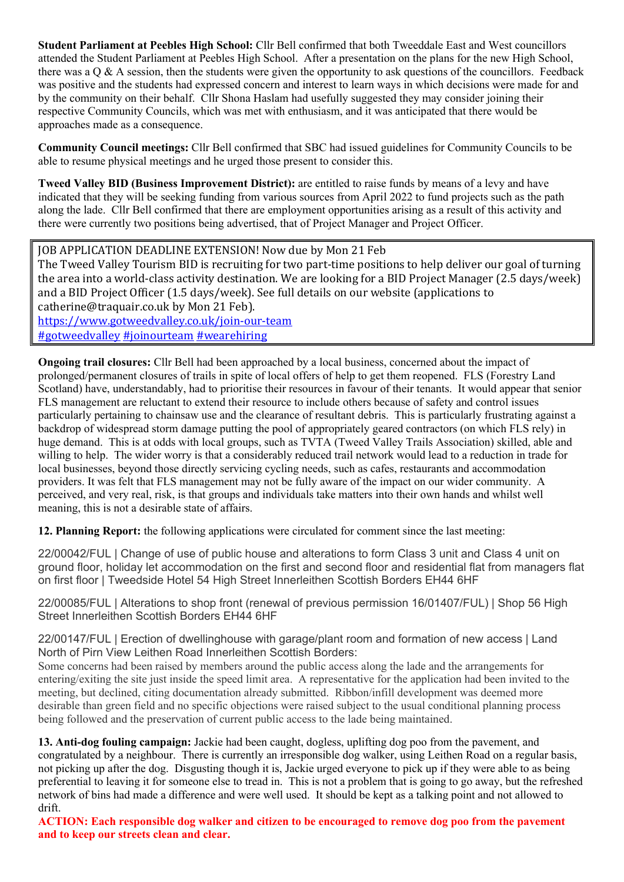**Student Parliament at Peebles High School:** Cllr Bell confirmed that both Tweeddale East and West councillors attended the Student Parliament at Peebles High School. After a presentation on the plans for the new High School, there was a Q & A session, then the students were given the opportunity to ask questions of the councillors. Feedback was positive and the students had expressed concern and interest to learn ways in which decisions were made for and by the community on their behalf. Cllr Shona Haslam had usefully suggested they may consider joining their respective Community Councils, which was met with enthusiasm, and it was anticipated that there would be approaches made as a consequence.

**Community Council meetings:** Cllr Bell confirmed that SBC had issued guidelines for Community Councils to be able to resume physical meetings and he urged those present to consider this.

**Tweed Valley BID (Business Improvement District):** are entitled to raise funds by means of a levy and have indicated that they will be seeking funding from various sources from April 2022 to fund projects such as the path along the lade. Cllr Bell confirmed that there are employment opportunities arising as a result of this activity and there were currently two positions being advertised, that of Project Manager and Project Officer.

**JOB APPLICATION DEADLINE EXTENSION! Now due by Mon 21 Feb** 

The Tweed Valley Tourism BID is recruiting for two part-time positions to help deliver our goal of turning the area into a world-class activity destination. We are looking for a BID Project Manager (2.5 days/week) and a BID Project Officer (1.5 days/week). See full details on our website (applications to catherine@traquair.co.uk by Mon 21 Feb). https://www.gotweedvalley.co.uk/join-our-team #gotweedvalley #joinourteam #wearehiring

**Ongoing trail closures:** Cllr Bell had been approached by a local business, concerned about the impact of prolonged/permanent closures of trails in spite of local offers of help to get them reopened. FLS (Forestry Land Scotland) have, understandably, had to prioritise their resources in favour of their tenants. It would appear that senior FLS management are reluctant to extend their resource to include others because of safety and control issues particularly pertaining to chainsaw use and the clearance of resultant debris. This is particularly frustrating against a backdrop of widespread storm damage putting the pool of appropriately geared contractors (on which FLS rely) in huge demand. This is at odds with local groups, such as TVTA (Tweed Valley Trails Association) skilled, able and willing to help. The wider worry is that a considerably reduced trail network would lead to a reduction in trade for local businesses, beyond those directly servicing cycling needs, such as cafes, restaurants and accommodation providers. It was felt that FLS management may not be fully aware of the impact on our wider community. A perceived, and very real, risk, is that groups and individuals take matters into their own hands and whilst well meaning, this is not a desirable state of affairs.

**12. Planning Report:** the following applications were circulated for comment since the last meeting:

22/00042/FUL | Change of use of public house and alterations to form Class 3 unit and Class 4 unit on ground floor, holiday let accommodation on the first and second floor and residential flat from managers flat on first floor | Tweedside Hotel 54 High Street Innerleithen Scottish Borders EH44 6HF

22/00085/FUL | Alterations to shop front (renewal of previous permission 16/01407/FUL) | Shop 56 High Street Innerleithen Scottish Borders EH44 6HF

22/00147/FUL | Erection of dwellinghouse with garage/plant room and formation of new access | Land North of Pirn View Leithen Road Innerleithen Scottish Borders:

Some concerns had been raised by members around the public access along the lade and the arrangements for entering/exiting the site just inside the speed limit area. A representative for the application had been invited to the meeting, but declined, citing documentation already submitted. Ribbon/infill development was deemed more desirable than green field and no specific objections were raised subject to the usual conditional planning process being followed and the preservation of current public access to the lade being maintained.

**13. Anti-dog fouling campaign:** Jackie had been caught, dogless, uplifting dog poo from the pavement, and congratulated by a neighbour. There is currently an irresponsible dog walker, using Leithen Road on a regular basis, not picking up after the dog. Disgusting though it is, Jackie urged everyone to pick up if they were able to as being preferential to leaving it for someone else to tread in. This is not a problem that is going to go away, but the refreshed network of bins had made a difference and were well used. It should be kept as a talking point and not allowed to drift.

**ACTION: Each responsible dog walker and citizen to be encouraged to remove dog poo from the pavement and to keep our streets clean and clear.**